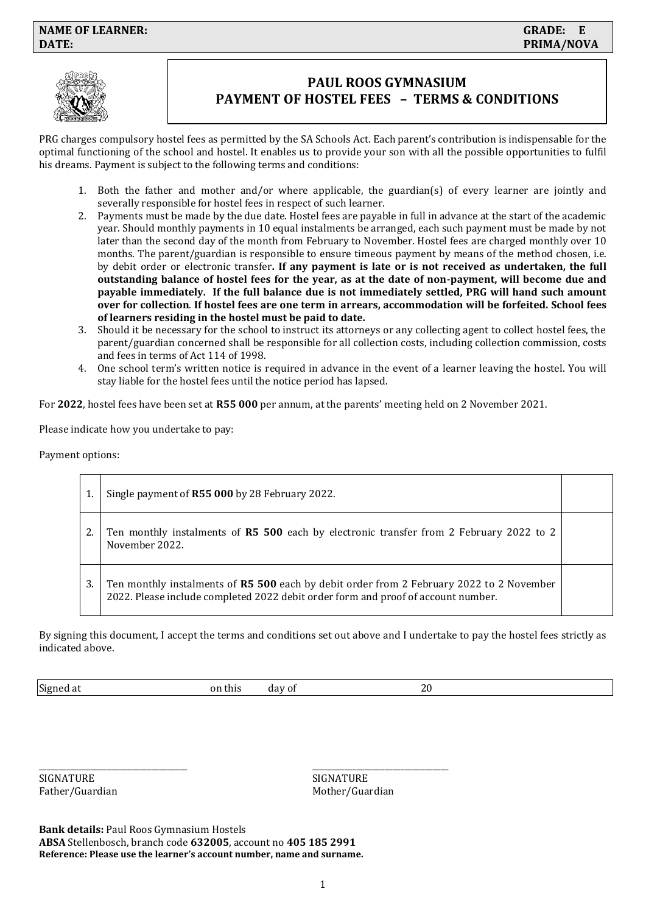

# **PAUL ROOS GYMNASIUM PAYMENT OF HOSTEL FEES – TERMS & CONDITIONS**

PRG charges compulsory hostel fees as permitted by the SA Schools Act. Each parent's contribution is indispensable for the optimal functioning of the school and hostel. It enables us to provide your son with all the possible opportunities to fulfil his dreams. Payment is subject to the following terms and conditions:

- 1. Both the father and mother and/or where applicable, the guardian(s) of every learner are jointly and severally responsible for hostel fees in respect of such learner.
- 2. Payments must be made by the due date. Hostel fees are payable in full in advance at the start of the academic year. Should monthly payments in 10 equal instalments be arranged, each such payment must be made by not later than the second day of the month from February to November. Hostel fees are charged monthly over 10 months. The parent/guardian is responsible to ensure timeous payment by means of the method chosen, i.e. by debit order or electronic transfer**. If any payment is late or is not received as undertaken, the full outstanding balance of hostel fees for the year, as at the date of non-payment, will become due and payable immediately. If the full balance due is not immediately settled, PRG will hand such amount over for collection**. **If hostel fees are one term in arrears, accommodation will be forfeited. School fees of learners residing in the hostel must be paid to date.**
- 3. Should it be necessary for the school to instruct its attorneys or any collecting agent to collect hostel fees, the parent/guardian concerned shall be responsible for all collection costs, including collection commission, costs and fees in terms of Act 114 of 1998.
- 4. One school term's written notice is required in advance in the event of a learner leaving the hostel. You will stay liable for the hostel fees until the notice period has lapsed.

For **2022**, hostel fees have been set at **R55 000** per annum, at the parents' meeting held on 2 November 2021.

Please indicate how you undertake to pay:

Payment options:

|    | Single payment of R55 000 by 28 February 2022.                                                                                                                                |  |
|----|-------------------------------------------------------------------------------------------------------------------------------------------------------------------------------|--|
|    | Ten monthly instalments of R5 500 each by electronic transfer from 2 February 2022 to 2<br>November 2022.                                                                     |  |
| 3. | Ten monthly instalments of R5 500 each by debit order from 2 February 2022 to 2 November<br>2022. Please include completed 2022 debit order form and proof of account number. |  |

By signing this document, I accept the terms and conditions set out above and I undertake to pay the hostel fees strictly as indicated above.

Signed at **Signed at on this** day of **20** 

\_\_\_\_\_\_\_\_\_\_\_\_\_\_\_\_\_\_\_\_\_\_\_\_\_\_\_\_\_\_\_\_\_\_\_\_\_ \_\_\_\_\_\_\_\_\_\_\_\_\_\_\_\_\_\_\_\_\_\_\_\_\_\_\_\_\_\_\_\_\_\_

SIGNATURE SIGNATURE

Father/Guardian Mother/Guardian Mother/Guardian

**Bank details:** Paul Roos Gymnasium Hostels **ABSA** Stellenbosch, branch code **632005**, account no **405 185 2991 Reference: Please use the learner's account number, name and surname.**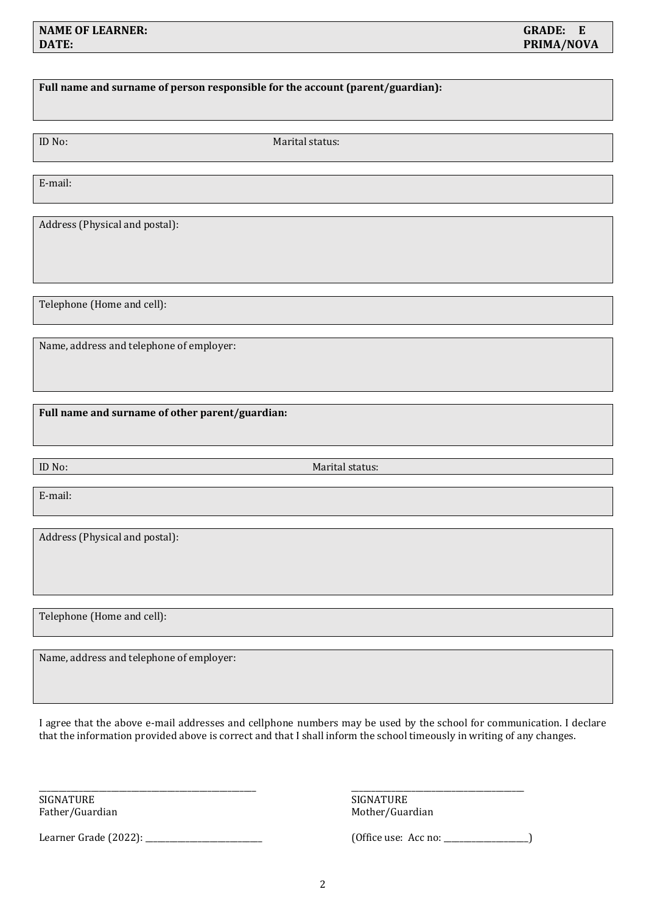# **Full name and surname of person responsible for the account (parent/guardian):**

ID No: Marital status:

E-mail:

Address (Physical and postal):

Telephone (Home and cell):

Name, address and telephone of employer:

**Full name and surname of other parent/guardian:** 

ID No: Marital status:

E-mail:

Address (Physical and postal):

Telephone (Home and cell):

Name, address and telephone of employer:

I agree that the above e-mail addresses and cellphone numbers may be used by the school for communication. I declare that the information provided above is correct and that I shall inform the school timeously in writing of any changes.

\_\_\_\_\_\_\_\_\_\_\_\_\_\_\_\_\_\_\_\_\_\_\_\_\_\_\_\_\_\_\_\_\_\_\_\_\_\_\_\_\_\_\_\_\_\_\_\_\_\_\_\_\_\_ \_\_\_\_\_\_\_\_\_\_\_\_\_\_\_\_\_\_\_\_\_\_\_\_\_\_\_\_\_\_\_\_\_\_\_\_\_\_\_\_\_\_\_

SIGNATURE SIGNATURE

Learner Grade (2022): \_\_\_\_\_\_\_\_\_\_\_\_\_\_\_\_\_\_\_\_\_\_\_\_\_\_\_\_\_ (Office use: Acc no: \_\_\_\_\_\_\_\_\_\_\_\_\_\_\_\_\_\_\_\_\_)

Father/Guardian Mother/Guardian Mother/Guardian